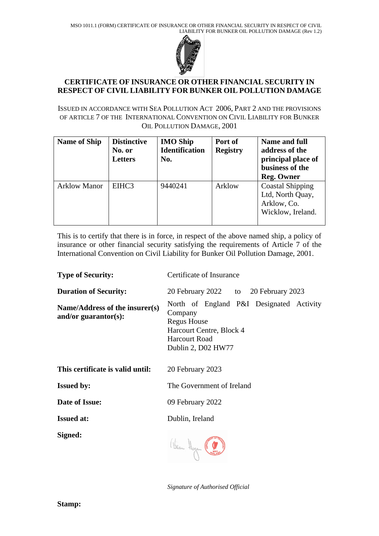

## **CERTIFICATE OF INSURANCE OR OTHER FINANCIAL SECURITY IN RESPECT OF CIVIL LIABILITY FOR BUNKER OIL POLLUTION DAMAGE**

ISSUED IN ACCORDANCE WITH SEA POLLUTION ACT 2006, PART 2 AND THE PROVISIONS OF ARTICLE 7 OF THE INTERNATIONAL CONVENTION ON CIVIL LIABILITY FOR BUNKER OIL POLLUTION DAMAGE, 2001

| <b>Name of Ship</b> | <b>Distinctive</b><br>No. or<br><b>Letters</b> | <b>IMO Ship</b><br><b>Identification</b><br>No. | Port of<br><b>Registry</b> | Name and full<br>address of the<br>principal place of<br>business of the<br><b>Reg. Owner</b> |
|---------------------|------------------------------------------------|-------------------------------------------------|----------------------------|-----------------------------------------------------------------------------------------------|
| <b>Arklow Manor</b> | EIHC3                                          | 9440241                                         | Arklow                     | <b>Coastal Shipping</b><br>Ltd, North Quay,<br>Arklow, Co.<br>Wicklow, Ireland.               |

This is to certify that there is in force, in respect of the above named ship, a policy of insurance or other financial security satisfying the requirements of Article 7 of the International Convention on Civil Liability for Bunker Oil Pollution Damage, 2001.

| <b>Type of Security:</b>                               | Certificate of Insurance                                                                                                                            |  |  |  |  |
|--------------------------------------------------------|-----------------------------------------------------------------------------------------------------------------------------------------------------|--|--|--|--|
| <b>Duration of Security:</b>                           | 20 February 2022 to 20 February 2023                                                                                                                |  |  |  |  |
| Name/Address of the insurer(s)<br>and/or guarantor(s): | North of England P&I Designated Activity<br>Company<br><b>Regus House</b><br>Harcourt Centre, Block 4<br><b>Harcourt Road</b><br>Dublin 2, D02 HW77 |  |  |  |  |
| This certificate is valid until:                       | 20 February 2023                                                                                                                                    |  |  |  |  |
| <b>Issued by:</b>                                      | The Government of Ireland                                                                                                                           |  |  |  |  |
| Date of Issue:                                         | 09 February 2022                                                                                                                                    |  |  |  |  |
| <b>Issued at:</b>                                      | Dublin, Ireland                                                                                                                                     |  |  |  |  |
| Signed:                                                | (Veron Hogan &                                                                                                                                      |  |  |  |  |

*Signature of Authorised Official*